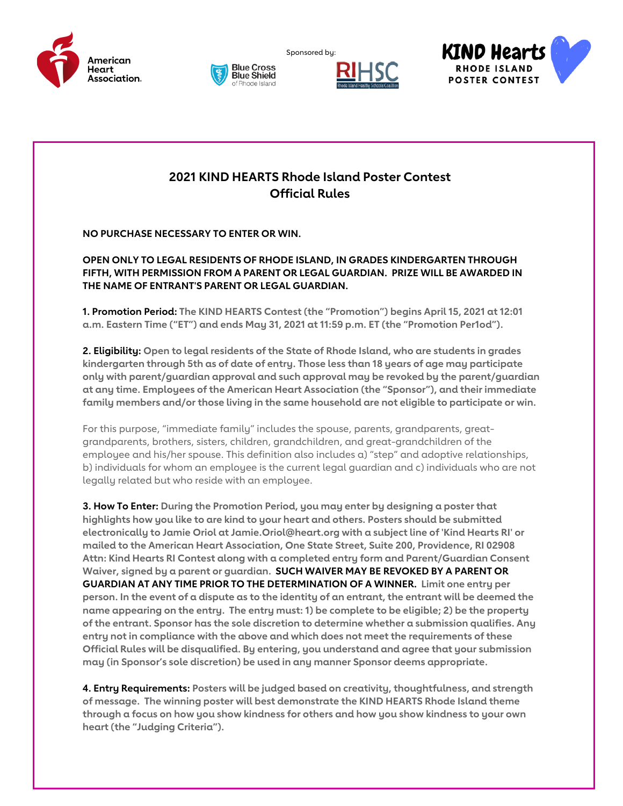







## **2021 KIND HEARTS Rhode Island Poster Contest Official Rules**

Sponsored by:

**NO PURCHASE NECESSARY TO ENTER OR WIN.**

**OPEN ONLY TO LEGAL RESIDENTS OF RHODE ISLAND, IN GRADES KINDERGARTEN THROUGH FIFTH, WITH PERMISSION FROM A PARENT OR LEGAL GUARDIAN. PRIZE WILL BE AWARDED IN THE NAME OF ENTRANT'S PARENT OR LEGAL GUARDIAN.**

**1. Promotion Period: The KIND HEARTS Contest (the "Promotion") begins April 15, 2021 at 12:01 a.m. Eastern Time ("ET") and ends May 31, 2021 at 11:59 p.m. ET (the "Promotion Per1od").**

**2. Eligibility: Open to legal residents of the State of Rhode Island, who are students in grades kindergarten through 5th as of date of entry. Those less than 18 years of age may participate only with parent/guardian approval and such approval may be revoked by the parent/guardian at any time. Employees of the American Heart Association (the "Sponsor"), and their immediate family members and/or those living in the same household are not eligible to participate or win.**

For this purpose, "immediate family" includes the spouse, parents, grandparents, greatgrandparents, brothers, sisters, children, grandchildren, and great-grandchildren of the employee and his/her spouse. This definition also includes a) "step" and adoptive relationships, b) individuals for whom an employee is the current legal guardian and c) individuals who are not legally related but who reside with an employee.

**3. How To Enter: During the Promotion Period, you may enter by designing a poster that highlights how you like to are kind to your heart and others. Posters should be submitted electronically to Jamie Oriol at Jamie.Oriol@heart.org with a subject line of 'Kind Hearts RI' or mailed to the American Heart Association, One State Street, Suite 200, Providence, RI 02908 Attn: Kind Hearts RI Contest along with a completed entry form and Parent/Guardian Consent Waiver, signed by a parent or guardian. SUCH WAIVER MAY BE REVOKED BY A PARENT OR GUARDIAN AT ANY TIME PRIOR TO THE DETERMINATION OF A WINNER. Limit one entry per** person. In the event of a dispute as to the identity of an entrant, the entrant will be deemed the **name appearing on the entry. The entry must: 1) be complete to be eligible; 2) be the property of the entrant. Sponsor has the sole discretion to determine whether a submission qualifies. Any entry not in compliance with the above and which does not meet the requirements of these Official Rules will be disqualified. By entering, you understand and agree that your submission may (in Sponsor's sole discretion) be used in any manner Sponsor deems appropriate.**

**4. Entry Requirements: Posters will be judged based on creativity, thoughtfulness, and strength of message. The winning poster will best demonstrate the KIND HEARTS Rhode Island theme through a focus on how you show kindness for others and how you show kindness to your own heart (the "Judging Criteria").**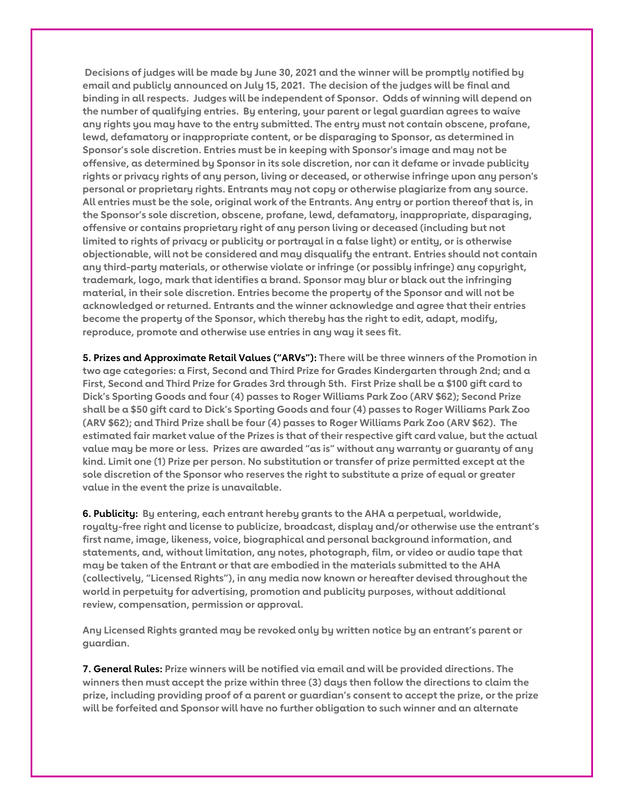**Decisions of judges will be made by June 30, 2021 and the winner will be promptly notified by email and publicly announced on July 15, 2021. The decision of the judges will be final and binding in all respects. Judges will be independent of Sponsor. Odds of winning will depend on the number of qualifying entries. By entering, your parent or legal guardian agrees to waive any rights you may have to the entry submitted. The entry must not contain obscene, profane, lewd, defamatory or inappropriate content, or be disparaging to Sponsor, as determined in Sponsor's sole discretion. Entries must be in keeping with Sponsor's image and may not be offensive, as determined by Sponsor in its sole discretion, nor can it defame or invade publicity rights or privacy rights of any person, living or deceased, or otherwise infringe upon any person's personal or proprietary rights. Entrants may not copy or otherwise plagiarize from any source.** All entries must be the sole, original work of the Entrants. Any entry or portion thereof that is, in **the Sponsor's sole discretion, obscene, profane, lewd, defamatory, inappropriate, disparaging, offensive or contains proprietary right of any person living or deceased (including but not** limited to rights of privacy or publicity or portrayal in a false light) or entity, or is otherwise **objectionable, will not be considered and may disqualify the entrant. Entries should not contain any third-party materials, or otherwise violate or infringe (or possibly infringe) any copyright, trademark, logo, mark that identifies a brand. Sponsor may blur or black out the infringing material, in their sole discretion. Entries become the property of the Sponsor and will not be acknowledged or returned. Entrants and the winner acknowledge and agree that their entries become the property of the Sponsor, which thereby has the right to edit, adapt, modify, reproduce, promote and otherwise use entries in any way it sees fit.**

**5. Prizes and Approximate Retail Values ("ARVs"): There will be three winners of the Promotion in two age categories: a First, Second and Third Prize for Grades Kindergarten through 2nd; and a** First, Second and Third Prize for Grades 3rd through 5th. First Prize shall be a \$100 gift card to **Dick's Sporting Goods and four (4) passes to Roger Williams Park Zoo (ARV \$62); Second Prize** shall be a \$50 gift card to Dick's Sporting Goods and four (4) passes to Roger Williams Park Zoo **(ARV \$62); and Third Prize shall be four (4) passes to Roger Williams Park Zoo (ARV \$62). The** estimated fair market value of the Prizes is that of their respective gift card value, but the actual **value may be more or less. Prizes are awarded "as is" without any warranty or guaranty of any kind. Limit one (1) Prize per person. No substitution or transfer of prize permitted except at the sole discretion of the Sponsor who reserves the right to substitute a prize of equal or greater value in the event the prize is unavailable.**

**6. Publicity: By entering, each entrant hereby grants to the AHA a perpetual, worldwide, royalty-free right and license to publicize, broadcast, display and/or otherwise use the entrant's first name, image, likeness, voice, biographical and personal background information, and statements, and, without limitation, any notes, photograph, film, or video or audio tape that may be taken of the Entrant or that are embodied in the materials submitted to the AHA (collectively, "Licensed Rights"), in any media now known or hereafter devised throughout the world in perpetuity for advertising, promotion and publicity purposes, without additional review, compensation, permission or approval.**

**Any Licensed Rights granted may be revoked only by written notice by an entrant's parent or guardian.**

**7. General Rules: Prize winners will be notified via email and will be provided directions. The winners then must accept the prize within three (3) days then follow the directions to claim the prize, including providing proof of a parent or guardian's consent to accept the prize, or the prize will be forfeited and Sponsor will have no further obligation to such winner and an alternate**